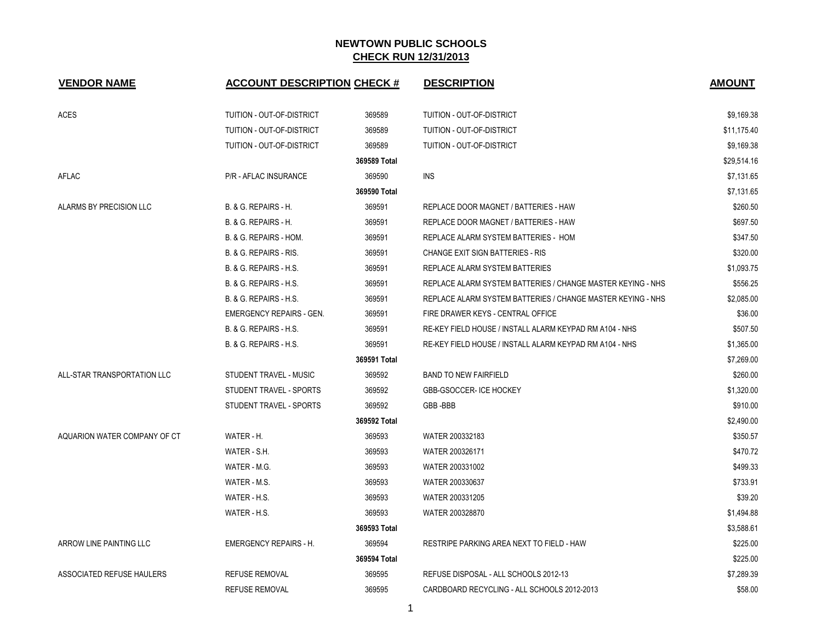| <b>VENDOR NAME</b>           | <b>ACCOUNT DESCRIPTION CHECK #</b> |              | <b>DESCRIPTION</b>                                          | <b>AMOUNT</b> |
|------------------------------|------------------------------------|--------------|-------------------------------------------------------------|---------------|
| <b>ACES</b>                  | TUITION - OUT-OF-DISTRICT          | 369589       | TUITION - OUT-OF-DISTRICT                                   | \$9,169.38    |
|                              | TUITION - OUT-OF-DISTRICT          | 369589       | TUITION - OUT-OF-DISTRICT                                   | \$11,175.40   |
|                              | TUITION - OUT-OF-DISTRICT          | 369589       | TUITION - OUT-OF-DISTRICT                                   | \$9,169.38    |
|                              |                                    | 369589 Total |                                                             | \$29,514.16   |
| <b>AFLAC</b>                 | P/R - AFLAC INSURANCE              | 369590       | <b>INS</b>                                                  | \$7,131.65    |
|                              |                                    | 369590 Total |                                                             | \$7,131.65    |
| ALARMS BY PRECISION LLC      | B. & G. REPAIRS - H.               | 369591       | REPLACE DOOR MAGNET / BATTERIES - HAW                       | \$260.50      |
|                              | B. & G. REPAIRS - H.               | 369591       | REPLACE DOOR MAGNET / BATTERIES - HAW                       | \$697.50      |
|                              | B. & G. REPAIRS - HOM.             | 369591       | REPLACE ALARM SYSTEM BATTERIES - HOM                        | \$347.50      |
|                              | B. & G. REPAIRS - RIS.             | 369591       | CHANGE EXIT SIGN BATTERIES - RIS                            | \$320.00      |
|                              | <b>B. &amp; G. REPAIRS - H.S.</b>  | 369591       | REPLACE ALARM SYSTEM BATTERIES                              | \$1,093.75    |
|                              | <b>B. &amp; G. REPAIRS - H.S.</b>  | 369591       | REPLACE ALARM SYSTEM BATTERIES / CHANGE MASTER KEYING - NHS | \$556.25      |
|                              | <b>B. &amp; G. REPAIRS - H.S.</b>  | 369591       | REPLACE ALARM SYSTEM BATTERIES / CHANGE MASTER KEYING - NHS | \$2,085.00    |
|                              | <b>EMERGENCY REPAIRS - GEN.</b>    | 369591       | FIRE DRAWER KEYS - CENTRAL OFFICE                           | \$36.00       |
|                              | B. & G. REPAIRS - H.S.             | 369591       | RE-KEY FIELD HOUSE / INSTALL ALARM KEYPAD RM A104 - NHS     | \$507.50      |
|                              | <b>B. &amp; G. REPAIRS - H.S.</b>  | 369591       | RE-KEY FIELD HOUSE / INSTALL ALARM KEYPAD RM A104 - NHS     | \$1,365.00    |
|                              |                                    | 369591 Total |                                                             | \$7,269.00    |
| ALL-STAR TRANSPORTATION LLC  | STUDENT TRAVEL - MUSIC             | 369592       | <b>BAND TO NEW FAIRFIELD</b>                                | \$260.00      |
|                              | STUDENT TRAVEL - SPORTS            | 369592       | <b>GBB-GSOCCER-ICE HOCKEY</b>                               | \$1,320.00    |
|                              | STUDENT TRAVEL - SPORTS            | 369592       | GBB-BBB                                                     | \$910.00      |
|                              |                                    | 369592 Total |                                                             | \$2,490.00    |
| AQUARION WATER COMPANY OF CT | WATER - H.                         | 369593       | WATER 200332183                                             | \$350.57      |
|                              | WATER - S.H.                       | 369593       | WATER 200326171                                             | \$470.72      |
|                              | WATER - M.G.                       | 369593       | WATER 200331002                                             | \$499.33      |
|                              | WATER - M.S.                       | 369593       | WATER 200330637                                             | \$733.91      |
|                              | WATER - H.S.                       | 369593       | WATER 200331205                                             | \$39.20       |
|                              | WATER - H.S.                       | 369593       | WATER 200328870                                             | \$1,494.88    |
|                              |                                    | 369593 Total |                                                             | \$3,588.61    |
| ARROW LINE PAINTING LLC      | <b>EMERGENCY REPAIRS - H.</b>      | 369594       | RESTRIPE PARKING AREA NEXT TO FIELD - HAW                   | \$225.00      |
|                              |                                    | 369594 Total |                                                             | \$225.00      |
| ASSOCIATED REFUSE HAULERS    | <b>REFUSE REMOVAL</b>              | 369595       | REFUSE DISPOSAL - ALL SCHOOLS 2012-13                       | \$7,289.39    |
|                              | <b>REFUSE REMOVAL</b>              | 369595       | CARDBOARD RECYCLING - ALL SCHOOLS 2012-2013                 | \$58.00       |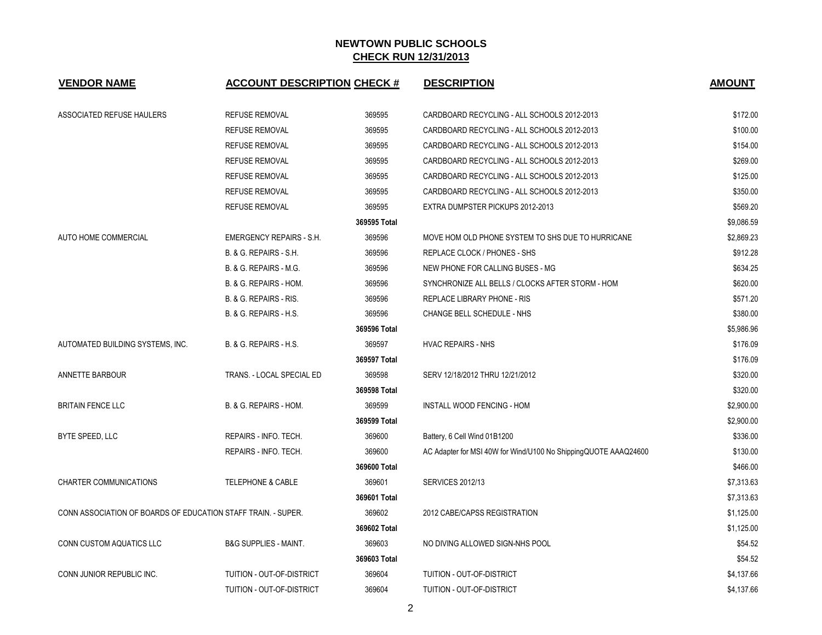| <b>VENDOR NAME</b>                                            | <b>ACCOUNT DESCRIPTION CHECK #</b> |              | <b>DESCRIPTION</b>                                              | <b>AMOUNT</b> |
|---------------------------------------------------------------|------------------------------------|--------------|-----------------------------------------------------------------|---------------|
| ASSOCIATED REFUSE HAULERS                                     | <b>REFUSE REMOVAL</b>              | 369595       | CARDBOARD RECYCLING - ALL SCHOOLS 2012-2013                     | \$172.00      |
|                                                               | <b>REFUSE REMOVAL</b>              | 369595       | CARDBOARD RECYCLING - ALL SCHOOLS 2012-2013                     | \$100.00      |
|                                                               | <b>REFUSE REMOVAL</b>              | 369595       | CARDBOARD RECYCLING - ALL SCHOOLS 2012-2013                     | \$154.00      |
|                                                               | <b>REFUSE REMOVAL</b>              | 369595       | CARDBOARD RECYCLING - ALL SCHOOLS 2012-2013                     | \$269.00      |
|                                                               | <b>REFUSE REMOVAL</b>              | 369595       | CARDBOARD RECYCLING - ALL SCHOOLS 2012-2013                     | \$125.00      |
|                                                               | <b>REFUSE REMOVAL</b>              | 369595       | CARDBOARD RECYCLING - ALL SCHOOLS 2012-2013                     | \$350.00      |
|                                                               | <b>REFUSE REMOVAL</b>              | 369595       | EXTRA DUMPSTER PICKUPS 2012-2013                                | \$569.20      |
|                                                               |                                    | 369595 Total |                                                                 | \$9,086.59    |
| AUTO HOME COMMERCIAL                                          | <b>EMERGENCY REPAIRS - S.H.</b>    | 369596       | MOVE HOM OLD PHONE SYSTEM TO SHS DUE TO HURRICANE               | \$2,869.23    |
|                                                               | B. & G. REPAIRS - S.H.             | 369596       | REPLACE CLOCK / PHONES - SHS                                    | \$912.28      |
|                                                               | B. & G. REPAIRS - M.G.             | 369596       | NEW PHONE FOR CALLING BUSES - MG                                | \$634.25      |
|                                                               | B. & G. REPAIRS - HOM.             | 369596       | SYNCHRONIZE ALL BELLS / CLOCKS AFTER STORM - HOM                | \$620.00      |
|                                                               | B. & G. REPAIRS - RIS.             | 369596       | <b>REPLACE LIBRARY PHONE - RIS</b>                              | \$571.20      |
|                                                               | B. & G. REPAIRS - H.S.             | 369596       | CHANGE BELL SCHEDULE - NHS                                      | \$380.00      |
|                                                               |                                    | 369596 Total |                                                                 | \$5,986.96    |
| AUTOMATED BUILDING SYSTEMS, INC.                              | B. & G. REPAIRS - H.S.             | 369597       | <b>HVAC REPAIRS - NHS</b>                                       | \$176.09      |
|                                                               |                                    | 369597 Total |                                                                 | \$176.09      |
| ANNETTE BARBOUR                                               | TRANS. - LOCAL SPECIAL ED          | 369598       | SERV 12/18/2012 THRU 12/21/2012                                 | \$320.00      |
|                                                               |                                    | 369598 Total |                                                                 | \$320.00      |
| <b>BRITAIN FENCE LLC</b>                                      | B. & G. REPAIRS - HOM.             | 369599       | INSTALL WOOD FENCING - HOM                                      | \$2,900.00    |
|                                                               |                                    | 369599 Total |                                                                 | \$2,900.00    |
| BYTE SPEED, LLC                                               | REPAIRS - INFO. TECH.              | 369600       | Battery, 6 Cell Wind 01B1200                                    | \$336.00      |
|                                                               | REPAIRS - INFO. TECH.              | 369600       | AC Adapter for MSI 40W for Wind/U100 No ShippingQUOTE AAAQ24600 | \$130.00      |
|                                                               |                                    | 369600 Total |                                                                 | \$466.00      |
| <b>CHARTER COMMUNICATIONS</b>                                 | <b>TELEPHONE &amp; CABLE</b>       | 369601       | <b>SERVICES 2012/13</b>                                         | \$7,313.63    |
|                                                               |                                    | 369601 Total |                                                                 | \$7,313.63    |
| CONN ASSOCIATION OF BOARDS OF EDUCATION STAFF TRAIN. - SUPER. |                                    | 369602       | 2012 CABE/CAPSS REGISTRATION                                    | \$1,125.00    |
|                                                               |                                    | 369602 Total |                                                                 | \$1,125.00    |
| CONN CUSTOM AQUATICS LLC                                      | <b>B&amp;G SUPPLIES - MAINT.</b>   | 369603       | NO DIVING ALLOWED SIGN-NHS POOL                                 | \$54.52       |
|                                                               |                                    | 369603 Total |                                                                 | \$54.52       |
| CONN JUNIOR REPUBLIC INC.                                     | TUITION - OUT-OF-DISTRICT          | 369604       | TUITION - OUT-OF-DISTRICT                                       | \$4,137.66    |
|                                                               | TUITION - OUT-OF-DISTRICT          | 369604       | TUITION - OUT-OF-DISTRICT                                       | \$4,137.66    |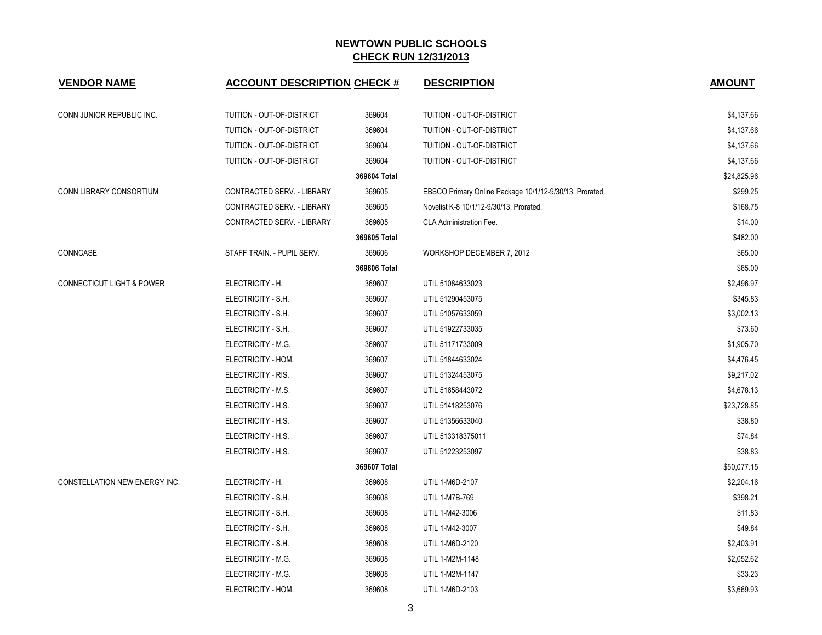| <b>VENDOR NAME</b>                   | <b>ACCOUNT DESCRIPTION CHECK #</b> |              | <b>DESCRIPTION</b>                                      | <b>AMOUNT</b> |
|--------------------------------------|------------------------------------|--------------|---------------------------------------------------------|---------------|
| CONN JUNIOR REPUBLIC INC.            | TUITION - OUT-OF-DISTRICT          | 369604       | TUITION - OUT-OF-DISTRICT                               | \$4,137.66    |
|                                      | TUITION - OUT-OF-DISTRICT          | 369604       | TUITION - OUT-OF-DISTRICT                               | \$4,137.66    |
|                                      | TUITION - OUT-OF-DISTRICT          | 369604       | TUITION - OUT-OF-DISTRICT                               | \$4,137.66    |
|                                      | TUITION - OUT-OF-DISTRICT          | 369604       | TUITION - OUT-OF-DISTRICT                               | \$4,137.66    |
|                                      |                                    | 369604 Total |                                                         | \$24,825.96   |
| CONN LIBRARY CONSORTIUM              | CONTRACTED SERV. - LIBRARY         | 369605       | EBSCO Primary Online Package 10/1/12-9/30/13. Prorated. | \$299.25      |
|                                      | CONTRACTED SERV. - LIBRARY         | 369605       | Novelist K-8 10/1/12-9/30/13. Prorated.                 | \$168.75      |
|                                      | CONTRACTED SERV. - LIBRARY         | 369605       | <b>CLA Administration Fee.</b>                          | \$14.00       |
|                                      |                                    | 369605 Total |                                                         | \$482.00      |
| CONNCASE                             | STAFF TRAIN. - PUPIL SERV.         | 369606       | WORKSHOP DECEMBER 7, 2012                               | \$65.00       |
|                                      |                                    | 369606 Total |                                                         | \$65.00       |
| <b>CONNECTICUT LIGHT &amp; POWER</b> | ELECTRICITY - H.                   | 369607       | UTIL 51084633023                                        | \$2,496.97    |
|                                      | ELECTRICITY - S.H.                 | 369607       | UTIL 51290453075                                        | \$345.83      |
|                                      | ELECTRICITY - S.H.                 | 369607       | UTIL 51057633059                                        | \$3,002.13    |
|                                      | ELECTRICITY - S.H.                 | 369607       | UTIL 51922733035                                        | \$73.60       |
|                                      | ELECTRICITY - M.G.                 | 369607       | UTIL 51171733009                                        | \$1,905.70    |
|                                      | ELECTRICITY - HOM.                 | 369607       | UTIL 51844633024                                        | \$4,476.45    |
|                                      | ELECTRICITY - RIS.                 | 369607       | UTIL 51324453075                                        | \$9,217.02    |
|                                      | ELECTRICITY - M.S.                 | 369607       | UTIL 51658443072                                        | \$4,678.13    |
|                                      | ELECTRICITY - H.S.                 | 369607       | UTIL 51418253076                                        | \$23,728.85   |
|                                      | ELECTRICITY - H.S.                 | 369607       | UTIL 51356633040                                        | \$38.80       |
|                                      | ELECTRICITY - H.S.                 | 369607       | UTIL 513318375011                                       | \$74.84       |
|                                      | ELECTRICITY - H.S.                 | 369607       | UTIL 51223253097                                        | \$38.83       |
|                                      |                                    | 369607 Total |                                                         | \$50,077.15   |
| CONSTELLATION NEW ENERGY INC.        | ELECTRICITY - H.                   | 369608       | UTIL 1-M6D-2107                                         | \$2,204.16    |
|                                      | ELECTRICITY - S.H.                 | 369608       | UTIL 1-M7B-769                                          | \$398.21      |
|                                      | ELECTRICITY - S.H.                 | 369608       | UTIL 1-M42-3006                                         | \$11.83       |
|                                      | ELECTRICITY - S.H.                 | 369608       | UTIL 1-M42-3007                                         | \$49.84       |
|                                      | ELECTRICITY - S.H.                 | 369608       | UTIL 1-M6D-2120                                         | \$2,403.91    |
|                                      | ELECTRICITY - M.G.                 | 369608       | UTIL 1-M2M-1148                                         | \$2,052.62    |
|                                      | ELECTRICITY - M.G.                 | 369608       | UTIL 1-M2M-1147                                         | \$33.23       |
|                                      | ELECTRICITY - HOM.                 | 369608       | UTIL 1-M6D-2103                                         | \$3,669.93    |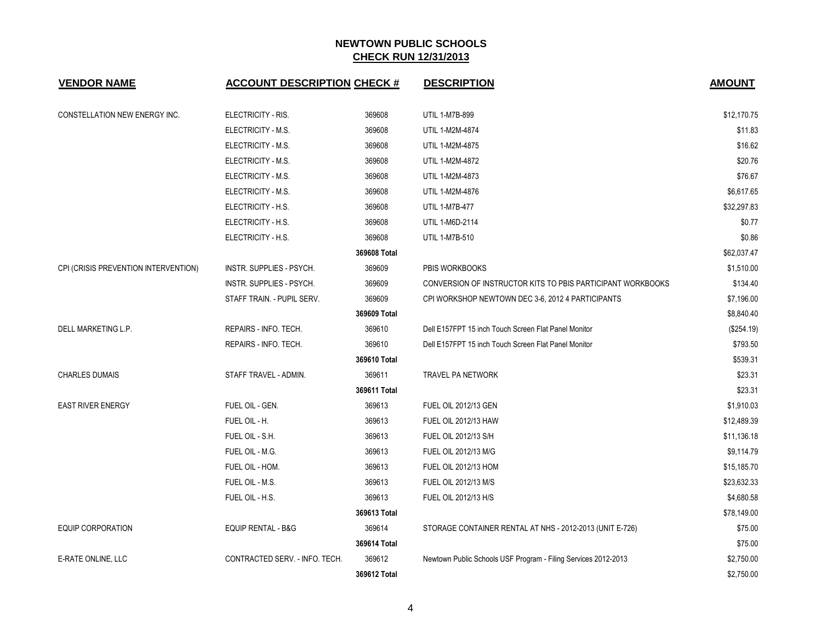| <b>VENDOR NAME</b>                   | <b>ACCOUNT DESCRIPTION CHECK #</b> |              | <b>DESCRIPTION</b>                                             | <b>AMOUNT</b> |
|--------------------------------------|------------------------------------|--------------|----------------------------------------------------------------|---------------|
| CONSTELLATION NEW ENERGY INC.        | ELECTRICITY - RIS.                 | 369608       | <b>UTIL 1-M7B-899</b>                                          | \$12,170.75   |
|                                      | ELECTRICITY - M.S.                 | 369608       | UTIL 1-M2M-4874                                                | \$11.83       |
|                                      | ELECTRICITY - M.S.                 | 369608       | UTIL 1-M2M-4875                                                | \$16.62       |
|                                      | ELECTRICITY - M.S.                 | 369608       | UTIL 1-M2M-4872                                                | \$20.76       |
|                                      | ELECTRICITY - M.S.                 | 369608       | UTIL 1-M2M-4873                                                | \$76.67       |
|                                      | ELECTRICITY - M.S.                 | 369608       | UTIL 1-M2M-4876                                                | \$6,617.65    |
|                                      | ELECTRICITY - H.S.                 | 369608       | <b>UTIL 1-M7B-477</b>                                          | \$32,297.83   |
|                                      | ELECTRICITY - H.S.                 | 369608       | UTIL 1-M6D-2114                                                | \$0.77        |
|                                      | ELECTRICITY - H.S.                 | 369608       | <b>UTIL 1-M7B-510</b>                                          | \$0.86        |
|                                      |                                    | 369608 Total |                                                                | \$62,037.47   |
| CPI (CRISIS PREVENTION INTERVENTION) | INSTR. SUPPLIES - PSYCH.           | 369609       | PBIS WORKBOOKS                                                 | \$1,510.00    |
|                                      | INSTR. SUPPLIES - PSYCH.           | 369609       | CONVERSION OF INSTRUCTOR KITS TO PBIS PARTICIPANT WORKBOOKS    | \$134.40      |
|                                      | STAFF TRAIN - PUPIL SERV.          | 369609       | CPI WORKSHOP NEWTOWN DEC 3-6, 2012 4 PARTICIPANTS              | \$7,196.00    |
|                                      |                                    | 369609 Total |                                                                | \$8,840.40    |
| DELL MARKETING L.P.                  | REPAIRS - INFO. TECH.              | 369610       | Dell E157FPT 15 inch Touch Screen Flat Panel Monitor           | (\$254.19)    |
|                                      | REPAIRS - INFO. TECH.              | 369610       | Dell E157FPT 15 inch Touch Screen Flat Panel Monitor           | \$793.50      |
|                                      |                                    | 369610 Total |                                                                | \$539.31      |
| <b>CHARLES DUMAIS</b>                | STAFF TRAVEL - ADMIN.              | 369611       | TRAVEL PA NETWORK                                              | \$23.31       |
|                                      |                                    | 369611 Total |                                                                | \$23.31       |
| <b>EAST RIVER ENERGY</b>             | FUEL OIL - GEN.                    | 369613       | FUEL OIL 2012/13 GEN                                           | \$1,910.03    |
|                                      | FUEL OIL - H.                      | 369613       | FUEL OIL 2012/13 HAW                                           | \$12,489.39   |
|                                      | FUEL OIL - S.H.                    | 369613       | FUEL OIL 2012/13 S/H                                           | \$11,136.18   |
|                                      | FUEL OIL - M.G.                    | 369613       | FUEL OIL 2012/13 M/G                                           | \$9,114.79    |
|                                      | FUEL OIL - HOM.                    | 369613       | <b>FUEL OIL 2012/13 HOM</b>                                    | \$15,185.70   |
|                                      | FUEL OIL - M.S.                    | 369613       | FUEL OIL 2012/13 M/S                                           | \$23,632.33   |
|                                      | FUEL OIL - H.S.                    | 369613       | FUEL OIL 2012/13 H/S                                           | \$4,680.58    |
|                                      |                                    | 369613 Total |                                                                | \$78,149.00   |
| <b>EQUIP CORPORATION</b>             | EQUIP RENTAL - B&G                 | 369614       | STORAGE CONTAINER RENTAL AT NHS - 2012-2013 (UNIT E-726)       | \$75.00       |
|                                      |                                    | 369614 Total |                                                                | \$75.00       |
| E-RATE ONLINE, LLC                   | CONTRACTED SERV. - INFO. TECH.     | 369612       | Newtown Public Schools USF Program - Filing Services 2012-2013 | \$2,750.00    |
|                                      |                                    | 369612 Total |                                                                | \$2,750.00    |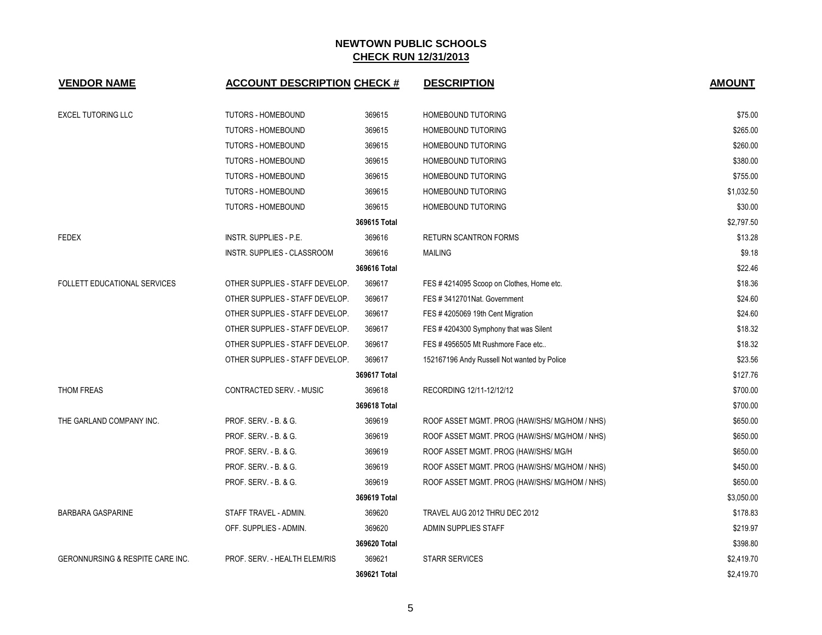| <b>VENDOR NAME</b>                          | <b>ACCOUNT DESCRIPTION CHECK #</b> |              | <b>DESCRIPTION</b>                            | <b>AMOUNT</b> |
|---------------------------------------------|------------------------------------|--------------|-----------------------------------------------|---------------|
| <b>EXCEL TUTORING LLC</b>                   | <b>TUTORS - HOMEBOUND</b>          | 369615       | HOMEBOUND TUTORING                            | \$75.00       |
|                                             | <b>TUTORS - HOMEBOUND</b>          | 369615       | <b>HOMEBOUND TUTORING</b>                     | \$265.00      |
|                                             | <b>TUTORS - HOMEBOUND</b>          | 369615       | HOMEBOUND TUTORING                            | \$260.00      |
|                                             | <b>TUTORS - HOMEBOUND</b>          | 369615       | HOMEBOUND TUTORING                            | \$380.00      |
|                                             | <b>TUTORS - HOMEBOUND</b>          | 369615       | <b>HOMEBOUND TUTORING</b>                     | \$755.00      |
|                                             | <b>TUTORS - HOMEBOUND</b>          | 369615       | <b>HOMEBOUND TUTORING</b>                     | \$1,032.50    |
|                                             | <b>TUTORS - HOMEBOUND</b>          | 369615       | <b>HOMEBOUND TUTORING</b>                     | \$30.00       |
|                                             |                                    | 369615 Total |                                               | \$2,797.50    |
| <b>FEDEX</b>                                | INSTR. SUPPLIES - P.E.             | 369616       | <b>RETURN SCANTRON FORMS</b>                  | \$13.28       |
|                                             | <b>INSTR. SUPPLIES - CLASSROOM</b> | 369616       | <b>MAILING</b>                                | \$9.18        |
|                                             |                                    | 369616 Total |                                               | \$22.46       |
| FOLLETT EDUCATIONAL SERVICES                | OTHER SUPPLIES - STAFF DEVELOP.    | 369617       | FES #4214095 Scoop on Clothes, Home etc.      | \$18.36       |
|                                             | OTHER SUPPLIES - STAFF DEVELOP.    | 369617       | FES #3412701Nat. Government                   | \$24.60       |
|                                             | OTHER SUPPLIES - STAFF DEVELOP.    | 369617       | FES #4205069 19th Cent Migration              | \$24.60       |
|                                             | OTHER SUPPLIES - STAFF DEVELOP.    | 369617       | FES #4204300 Symphony that was Silent         | \$18.32       |
|                                             | OTHER SUPPLIES - STAFF DEVELOP.    | 369617       | FES #4956505 Mt Rushmore Face etc             | \$18.32       |
|                                             | OTHER SUPPLIES - STAFF DEVELOP.    | 369617       | 152167196 Andy Russell Not wanted by Police   | \$23.56       |
|                                             |                                    | 369617 Total |                                               | \$127.76      |
| THOM FREAS                                  | CONTRACTED SERV. - MUSIC           | 369618       | RECORDING 12/11-12/12/12                      | \$700.00      |
|                                             |                                    | 369618 Total |                                               | \$700.00      |
| THE GARLAND COMPANY INC.                    | PROF. SERV. - B. & G.              | 369619       | ROOF ASSET MGMT. PROG (HAW/SHS/ MG/HOM / NHS) | \$650.00      |
|                                             | PROF. SERV. - B. & G.              | 369619       | ROOF ASSET MGMT. PROG (HAW/SHS/ MG/HOM / NHS) | \$650.00      |
|                                             | PROF. SERV. - B. & G.              | 369619       | ROOF ASSET MGMT. PROG (HAW/SHS/ MG/H          | \$650.00      |
|                                             | PROF. SERV. - B. & G.              | 369619       | ROOF ASSET MGMT. PROG (HAW/SHS/ MG/HOM / NHS) | \$450.00      |
|                                             | PROF. SERV. - B. & G.              | 369619       | ROOF ASSET MGMT. PROG (HAW/SHS/ MG/HOM / NHS) | \$650.00      |
|                                             |                                    | 369619 Total |                                               | \$3,050.00    |
| <b>BARBARA GASPARINE</b>                    | STAFF TRAVEL - ADMIN.              | 369620       | TRAVEL AUG 2012 THRU DEC 2012                 | \$178.83      |
|                                             | OFF. SUPPLIES - ADMIN.             | 369620       | <b>ADMIN SUPPLIES STAFF</b>                   | \$219.97      |
|                                             |                                    | 369620 Total |                                               | \$398.80      |
| <b>GERONNURSING &amp; RESPITE CARE INC.</b> | PROF. SERV. - HEALTH ELEM/RIS      | 369621       | <b>STARR SERVICES</b>                         | \$2,419.70    |
|                                             |                                    | 369621 Total |                                               | \$2,419.70    |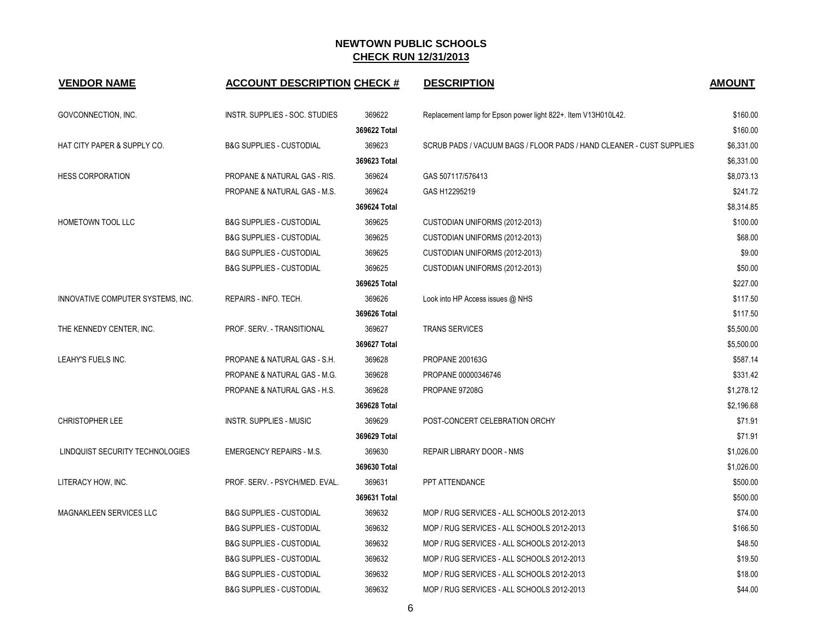| <b>VENDOR NAME</b>                | <b>ACCOUNT DESCRIPTION CHECK #</b>      |              | <b>DESCRIPTION</b>                                                   | <b>AMOUNT</b> |
|-----------------------------------|-----------------------------------------|--------------|----------------------------------------------------------------------|---------------|
| GOVCONNECTION, INC.               | INSTR. SUPPLIES - SOC. STUDIES          | 369622       | Replacement lamp for Epson power light 822+. Item V13H010L42.        | \$160.00      |
|                                   |                                         | 369622 Total |                                                                      | \$160.00      |
| HAT CITY PAPER & SUPPLY CO.       | <b>B&amp;G SUPPLIES - CUSTODIAL</b>     | 369623       | SCRUB PADS / VACUUM BAGS / FLOOR PADS / HAND CLEANER - CUST SUPPLIES | \$6,331.00    |
|                                   |                                         | 369623 Total |                                                                      | \$6,331.00    |
| <b>HESS CORPORATION</b>           | PROPANE & NATURAL GAS - RIS.            | 369624       | GAS 507117/576413                                                    | \$8,073.13    |
|                                   | <b>PROPANE &amp; NATURAL GAS - M.S.</b> | 369624       | GAS H12295219                                                        | \$241.72      |
|                                   |                                         | 369624 Total |                                                                      | \$8,314.85    |
| HOMETOWN TOOL LLC                 | <b>B&amp;G SUPPLIES - CUSTODIAL</b>     | 369625       | CUSTODIAN UNIFORMS (2012-2013)                                       | \$100.00      |
|                                   | <b>B&amp;G SUPPLIES - CUSTODIAL</b>     | 369625       | CUSTODIAN UNIFORMS (2012-2013)                                       | \$68.00       |
|                                   | <b>B&amp;G SUPPLIES - CUSTODIAL</b>     | 369625       | CUSTODIAN UNIFORMS (2012-2013)                                       | \$9.00        |
|                                   | <b>B&amp;G SUPPLIES - CUSTODIAL</b>     | 369625       | CUSTODIAN UNIFORMS (2012-2013)                                       | \$50.00       |
|                                   |                                         | 369625 Total |                                                                      | \$227.00      |
| INNOVATIVE COMPUTER SYSTEMS, INC. | REPAIRS - INFO. TECH.                   | 369626       | Look into HP Access issues @ NHS                                     | \$117.50      |
|                                   |                                         | 369626 Total |                                                                      | \$117.50      |
| THE KENNEDY CENTER, INC.          | PROF. SERV. - TRANSITIONAL              | 369627       | <b>TRANS SERVICES</b>                                                | \$5,500.00    |
|                                   |                                         | 369627 Total |                                                                      | \$5,500.00    |
| LEAHY'S FUELS INC.                | PROPANE & NATURAL GAS - S.H.            | 369628       | <b>PROPANE 200163G</b>                                               | \$587.14      |
|                                   | PROPANE & NATURAL GAS - M.G.            | 369628       | PROPANE 00000346746                                                  | \$331.42      |
|                                   | PROPANE & NATURAL GAS - H.S.            | 369628       | PROPANE 97208G                                                       | \$1,278.12    |
|                                   |                                         | 369628 Total |                                                                      | \$2,196.68    |
| <b>CHRISTOPHER LEE</b>            | <b>INSTR. SUPPLIES - MUSIC</b>          | 369629       | POST-CONCERT CELEBRATION ORCHY                                       | \$71.91       |
|                                   |                                         | 369629 Total |                                                                      | \$71.91       |
| LINDQUIST SECURITY TECHNOLOGIES   | <b>EMERGENCY REPAIRS - M.S.</b>         | 369630       | REPAIR LIBRARY DOOR - NMS                                            | \$1,026.00    |
|                                   |                                         | 369630 Total |                                                                      | \$1,026.00    |
| LITERACY HOW, INC.                | PROF. SERV. - PSYCH/MED. EVAL.          | 369631       | PPT ATTENDANCE                                                       | \$500.00      |
|                                   |                                         | 369631 Total |                                                                      | \$500.00      |
| MAGNAKLEEN SERVICES LLC           | <b>B&amp;G SUPPLIES - CUSTODIAL</b>     | 369632       | MOP / RUG SERVICES - ALL SCHOOLS 2012-2013                           | \$74.00       |
|                                   | <b>B&amp;G SUPPLIES - CUSTODIAL</b>     | 369632       | MOP / RUG SERVICES - ALL SCHOOLS 2012-2013                           | \$166.50      |
|                                   | <b>B&amp;G SUPPLIES - CUSTODIAL</b>     | 369632       | MOP / RUG SERVICES - ALL SCHOOLS 2012-2013                           | \$48.50       |
|                                   | <b>B&amp;G SUPPLIES - CUSTODIAL</b>     | 369632       | MOP / RUG SERVICES - ALL SCHOOLS 2012-2013                           | \$19.50       |
|                                   | <b>B&amp;G SUPPLIES - CUSTODIAL</b>     | 369632       | MOP / RUG SERVICES - ALL SCHOOLS 2012-2013                           | \$18.00       |
|                                   | <b>B&amp;G SUPPLIES - CUSTODIAL</b>     | 369632       | MOP / RUG SERVICES - ALL SCHOOLS 2012-2013                           | \$44.00       |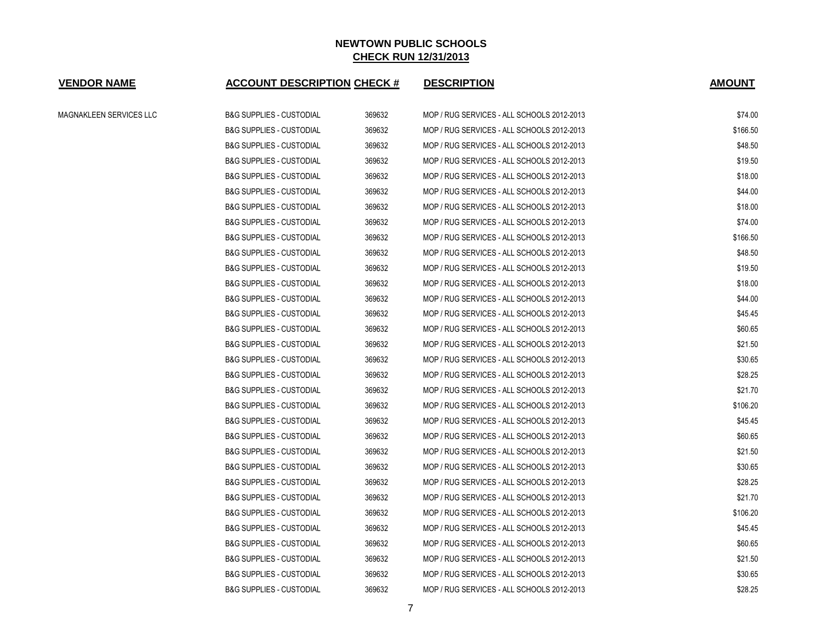| <b>VENDOR NAME</b>      | <b>ACCOUNT DESCRIPTION CHECK #</b>  |        | <b>DESCRIPTION</b>                         | <b>AMOUNT</b> |
|-------------------------|-------------------------------------|--------|--------------------------------------------|---------------|
| MAGNAKLEEN SERVICES LLC | <b>B&amp;G SUPPLIES - CUSTODIAL</b> | 369632 | MOP / RUG SERVICES - ALL SCHOOLS 2012-2013 | \$74.00       |
|                         | <b>B&amp;G SUPPLIES - CUSTODIAL</b> | 369632 | MOP / RUG SERVICES - ALL SCHOOLS 2012-2013 | \$166.50      |
|                         | <b>B&amp;G SUPPLIES - CUSTODIAL</b> | 369632 | MOP / RUG SERVICES - ALL SCHOOLS 2012-2013 | \$48.50       |
|                         | <b>B&amp;G SUPPLIES - CUSTODIAL</b> | 369632 | MOP / RUG SERVICES - ALL SCHOOLS 2012-2013 | \$19.50       |
|                         | <b>B&amp;G SUPPLIES - CUSTODIAL</b> | 369632 | MOP / RUG SERVICES - ALL SCHOOLS 2012-2013 | \$18.00       |
|                         | <b>B&amp;G SUPPLIES - CUSTODIAL</b> | 369632 | MOP / RUG SERVICES - ALL SCHOOLS 2012-2013 | \$44.00       |
|                         | <b>B&amp;G SUPPLIES - CUSTODIAL</b> | 369632 | MOP / RUG SERVICES - ALL SCHOOLS 2012-2013 | \$18.00       |
|                         | <b>B&amp;G SUPPLIES - CUSTODIAL</b> | 369632 | MOP / RUG SERVICES - ALL SCHOOLS 2012-2013 | \$74.00       |
|                         | <b>B&amp;G SUPPLIES - CUSTODIAL</b> | 369632 | MOP / RUG SERVICES - ALL SCHOOLS 2012-2013 | \$166.50      |
|                         | <b>B&amp;G SUPPLIES - CUSTODIAL</b> | 369632 | MOP / RUG SERVICES - ALL SCHOOLS 2012-2013 | \$48.50       |
|                         | <b>B&amp;G SUPPLIES - CUSTODIAL</b> | 369632 | MOP / RUG SERVICES - ALL SCHOOLS 2012-2013 | \$19.50       |
|                         | <b>B&amp;G SUPPLIES - CUSTODIAL</b> | 369632 | MOP / RUG SERVICES - ALL SCHOOLS 2012-2013 | \$18.00       |
|                         | <b>B&amp;G SUPPLIES - CUSTODIAL</b> | 369632 | MOP / RUG SERVICES - ALL SCHOOLS 2012-2013 | \$44.00       |
|                         | <b>B&amp;G SUPPLIES - CUSTODIAL</b> | 369632 | MOP / RUG SERVICES - ALL SCHOOLS 2012-2013 | \$45.45       |
|                         | <b>B&amp;G SUPPLIES - CUSTODIAL</b> | 369632 | MOP / RUG SERVICES - ALL SCHOOLS 2012-2013 | \$60.65       |
|                         | <b>B&amp;G SUPPLIES - CUSTODIAL</b> | 369632 | MOP / RUG SERVICES - ALL SCHOOLS 2012-2013 | \$21.50       |
|                         | <b>B&amp;G SUPPLIES - CUSTODIAL</b> | 369632 | MOP / RUG SERVICES - ALL SCHOOLS 2012-2013 | \$30.65       |
|                         | <b>B&amp;G SUPPLIES - CUSTODIAL</b> | 369632 | MOP / RUG SERVICES - ALL SCHOOLS 2012-2013 | \$28.25       |
|                         | <b>B&amp;G SUPPLIES - CUSTODIAL</b> | 369632 | MOP / RUG SERVICES - ALL SCHOOLS 2012-2013 | \$21.70       |
|                         | <b>B&amp;G SUPPLIES - CUSTODIAL</b> | 369632 | MOP / RUG SERVICES - ALL SCHOOLS 2012-2013 | \$106.20      |
|                         | <b>B&amp;G SUPPLIES - CUSTODIAL</b> | 369632 | MOP / RUG SERVICES - ALL SCHOOLS 2012-2013 | \$45.45       |
|                         | <b>B&amp;G SUPPLIES - CUSTODIAL</b> | 369632 | MOP / RUG SERVICES - ALL SCHOOLS 2012-2013 | \$60.65       |
|                         | <b>B&amp;G SUPPLIES - CUSTODIAL</b> | 369632 | MOP / RUG SERVICES - ALL SCHOOLS 2012-2013 | \$21.50       |
|                         | <b>B&amp;G SUPPLIES - CUSTODIAL</b> | 369632 | MOP / RUG SERVICES - ALL SCHOOLS 2012-2013 | \$30.65       |
|                         | <b>B&amp;G SUPPLIES - CUSTODIAL</b> | 369632 | MOP / RUG SERVICES - ALL SCHOOLS 2012-2013 | \$28.25       |
|                         | <b>B&amp;G SUPPLIES - CUSTODIAL</b> | 369632 | MOP / RUG SERVICES - ALL SCHOOLS 2012-2013 | \$21.70       |
|                         | <b>B&amp;G SUPPLIES - CUSTODIAL</b> | 369632 | MOP / RUG SERVICES - ALL SCHOOLS 2012-2013 | \$106.20      |
|                         | <b>B&amp;G SUPPLIES - CUSTODIAL</b> | 369632 | MOP / RUG SERVICES - ALL SCHOOLS 2012-2013 | \$45.45       |
|                         | <b>B&amp;G SUPPLIES - CUSTODIAL</b> | 369632 | MOP / RUG SERVICES - ALL SCHOOLS 2012-2013 | \$60.65       |
|                         | <b>B&amp;G SUPPLIES - CUSTODIAL</b> | 369632 | MOP / RUG SERVICES - ALL SCHOOLS 2012-2013 | \$21.50       |
|                         | <b>B&amp;G SUPPLIES - CUSTODIAL</b> | 369632 | MOP / RUG SERVICES - ALL SCHOOLS 2012-2013 | \$30.65       |
|                         | <b>B&amp;G SUPPLIES - CUSTODIAL</b> | 369632 | MOP / RUG SERVICES - ALL SCHOOLS 2012-2013 | \$28.25       |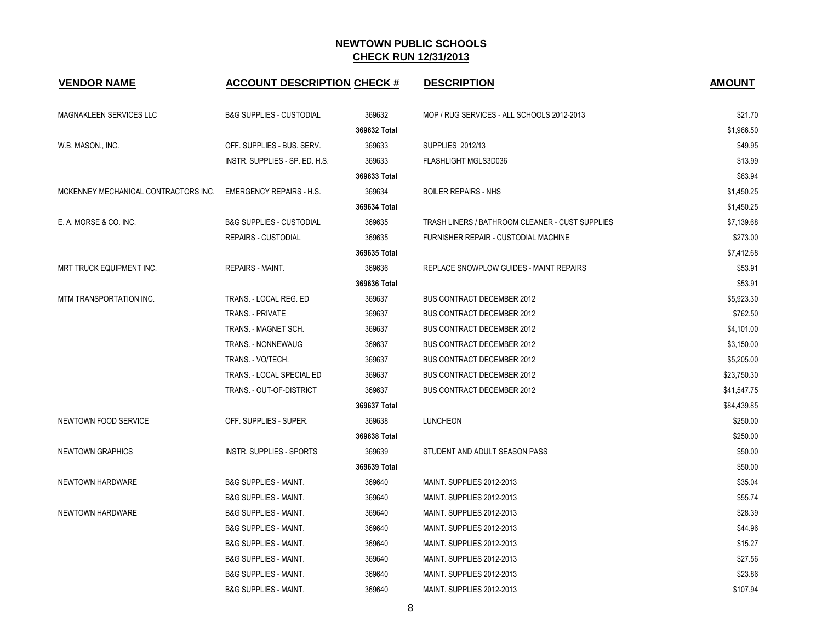| <b>VENDOR NAME</b>                   | <b>ACCOUNT DESCRIPTION CHECK #</b>  |              | <b>DESCRIPTION</b>                              | <b>AMOUNT</b> |
|--------------------------------------|-------------------------------------|--------------|-------------------------------------------------|---------------|
| MAGNAKLEEN SERVICES LLC              | <b>B&amp;G SUPPLIES - CUSTODIAL</b> | 369632       | MOP / RUG SERVICES - ALL SCHOOLS 2012-2013      | \$21.70       |
|                                      |                                     | 369632 Total |                                                 | \$1,966.50    |
| W.B. MASON., INC.                    | OFF. SUPPLIES - BUS. SERV.          | 369633       | SUPPLIES 2012/13                                | \$49.95       |
|                                      | INSTR. SUPPLIES - SP. ED. H.S.      | 369633       | FLASHLIGHT MGLS3D036                            | \$13.99       |
|                                      |                                     | 369633 Total |                                                 | \$63.94       |
| MCKENNEY MECHANICAL CONTRACTORS INC. | <b>EMERGENCY REPAIRS - H.S.</b>     | 369634       | <b>BOILER REPAIRS - NHS</b>                     | \$1,450.25    |
|                                      |                                     | 369634 Total |                                                 | \$1,450.25    |
| E. A. MORSE & CO. INC.               | <b>B&amp;G SUPPLIES - CUSTODIAL</b> | 369635       | TRASH LINERS / BATHROOM CLEANER - CUST SUPPLIES | \$7,139.68    |
|                                      | <b>REPAIRS - CUSTODIAL</b>          | 369635       | FURNISHER REPAIR - CUSTODIAL MACHINE            | \$273.00      |
|                                      |                                     | 369635 Total |                                                 | \$7,412.68    |
| MRT TRUCK EQUIPMENT INC.             | REPAIRS - MAINT.                    | 369636       | REPLACE SNOWPLOW GUIDES - MAINT REPAIRS         | \$53.91       |
|                                      |                                     | 369636 Total |                                                 | \$53.91       |
| MTM TRANSPORTATION INC.              | TRANS. - LOCAL REG. ED              | 369637       | <b>BUS CONTRACT DECEMBER 2012</b>               | \$5,923.30    |
|                                      | <b>TRANS. - PRIVATE</b>             | 369637       | <b>BUS CONTRACT DECEMBER 2012</b>               | \$762.50      |
|                                      | TRANS. - MAGNET SCH.                | 369637       | <b>BUS CONTRACT DECEMBER 2012</b>               | \$4,101.00    |
|                                      | TRANS. - NONNEWAUG                  | 369637       | <b>BUS CONTRACT DECEMBER 2012</b>               | \$3,150.00    |
|                                      | TRANS. - VO/TECH.                   | 369637       | <b>BUS CONTRACT DECEMBER 2012</b>               | \$5,205.00    |
|                                      | TRANS. - LOCAL SPECIAL ED           | 369637       | <b>BUS CONTRACT DECEMBER 2012</b>               | \$23,750.30   |
|                                      | TRANS. - OUT-OF-DISTRICT            | 369637       | <b>BUS CONTRACT DECEMBER 2012</b>               | \$41,547.75   |
|                                      |                                     | 369637 Total |                                                 | \$84,439.85   |
| NEWTOWN FOOD SERVICE                 | OFF. SUPPLIES - SUPER.              | 369638       | <b>LUNCHEON</b>                                 | \$250.00      |
|                                      |                                     | 369638 Total |                                                 | \$250.00      |
| <b>NEWTOWN GRAPHICS</b>              | <b>INSTR. SUPPLIES - SPORTS</b>     | 369639       | STUDENT AND ADULT SEASON PASS                   | \$50.00       |
|                                      |                                     | 369639 Total |                                                 | \$50.00       |
| NEWTOWN HARDWARE                     | <b>B&amp;G SUPPLIES - MAINT.</b>    | 369640       | MAINT. SUPPLIES 2012-2013                       | \$35.04       |
|                                      | <b>B&amp;G SUPPLIES - MAINT.</b>    | 369640       | MAINT. SUPPLIES 2012-2013                       | \$55.74       |
| NEWTOWN HARDWARE                     | <b>B&amp;G SUPPLIES - MAINT.</b>    | 369640       | MAINT. SUPPLIES 2012-2013                       | \$28.39       |
|                                      | <b>B&amp;G SUPPLIES - MAINT.</b>    | 369640       | MAINT. SUPPLIES 2012-2013                       | \$44.96       |
|                                      | <b>B&amp;G SUPPLIES - MAINT.</b>    | 369640       | MAINT. SUPPLIES 2012-2013                       | \$15.27       |
|                                      | <b>B&amp;G SUPPLIES - MAINT.</b>    | 369640       | MAINT. SUPPLIES 2012-2013                       | \$27.56       |
|                                      | <b>B&amp;G SUPPLIES - MAINT.</b>    | 369640       | MAINT. SUPPLIES 2012-2013                       | \$23.86       |
|                                      | <b>B&amp;G SUPPLIES - MAINT.</b>    | 369640       | MAINT. SUPPLIES 2012-2013                       | \$107.94      |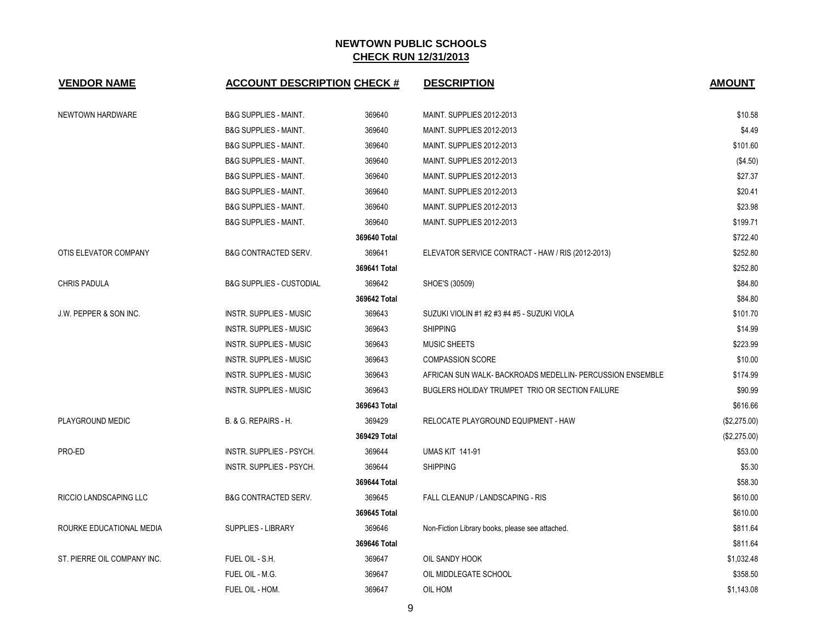| <b>VENDOR NAME</b>          | <b>ACCOUNT DESCRIPTION CHECK #</b>  |              | <b>DESCRIPTION</b>                                        | <b>AMOUNT</b> |
|-----------------------------|-------------------------------------|--------------|-----------------------------------------------------------|---------------|
| NEWTOWN HARDWARE            | <b>B&amp;G SUPPLIES - MAINT.</b>    | 369640       | MAINT. SUPPLIES 2012-2013                                 | \$10.58       |
|                             | <b>B&amp;G SUPPLIES - MAINT.</b>    | 369640       | MAINT. SUPPLIES 2012-2013                                 | \$4.49        |
|                             | <b>B&amp;G SUPPLIES - MAINT.</b>    | 369640       | MAINT. SUPPLIES 2012-2013                                 | \$101.60      |
|                             | <b>B&amp;G SUPPLIES - MAINT.</b>    | 369640       | MAINT. SUPPLIES 2012-2013                                 | (\$4.50)      |
|                             | <b>B&amp;G SUPPLIES - MAINT.</b>    | 369640       | MAINT. SUPPLIES 2012-2013                                 | \$27.37       |
|                             | <b>B&amp;G SUPPLIES - MAINT.</b>    | 369640       | MAINT. SUPPLIES 2012-2013                                 | \$20.41       |
|                             | <b>B&amp;G SUPPLIES - MAINT.</b>    | 369640       | MAINT. SUPPLIES 2012-2013                                 | \$23.98       |
|                             | <b>B&amp;G SUPPLIES - MAINT.</b>    | 369640       | MAINT. SUPPLIES 2012-2013                                 | \$199.71      |
|                             |                                     | 369640 Total |                                                           | \$722.40      |
| OTIS ELEVATOR COMPANY       | <b>B&amp;G CONTRACTED SERV.</b>     | 369641       | ELEVATOR SERVICE CONTRACT - HAW / RIS (2012-2013)         | \$252.80      |
|                             |                                     | 369641 Total |                                                           | \$252.80      |
| <b>CHRIS PADULA</b>         | <b>B&amp;G SUPPLIES - CUSTODIAL</b> | 369642       | SHOE'S (30509)                                            | \$84.80       |
|                             |                                     | 369642 Total |                                                           | \$84.80       |
| J.W. PEPPER & SON INC.      | <b>INSTR. SUPPLIES - MUSIC</b>      | 369643       | SUZUKI VIOLIN #1 #2 #3 #4 #5 - SUZUKI VIOLA               | \$101.70      |
|                             | <b>INSTR. SUPPLIES - MUSIC</b>      | 369643       | <b>SHIPPING</b>                                           | \$14.99       |
|                             | <b>INSTR. SUPPLIES - MUSIC</b>      | 369643       | <b>MUSIC SHEETS</b>                                       | \$223.99      |
|                             | <b>INSTR. SUPPLIES - MUSIC</b>      | 369643       | <b>COMPASSION SCORE</b>                                   | \$10.00       |
|                             | <b>INSTR. SUPPLIES - MUSIC</b>      | 369643       | AFRICAN SUN WALK- BACKROADS MEDELLIN- PERCUSSION ENSEMBLE | \$174.99      |
|                             | <b>INSTR. SUPPLIES - MUSIC</b>      | 369643       | BUGLERS HOLIDAY TRUMPET TRIO OR SECTION FAILURE           | \$90.99       |
|                             |                                     | 369643 Total |                                                           | \$616.66      |
| PLAYGROUND MEDIC            | B. & G. REPAIRS - H.                | 369429       | RELOCATE PLAYGROUND EQUIPMENT - HAW                       | (\$2,275.00)  |
|                             |                                     | 369429 Total |                                                           | (\$2,275.00)  |
| PRO-ED                      | INSTR. SUPPLIES - PSYCH.            | 369644       | <b>UMAS KIT 141-91</b>                                    | \$53.00       |
|                             | INSTR. SUPPLIES - PSYCH.            | 369644       | <b>SHIPPING</b>                                           | \$5.30        |
|                             |                                     | 369644 Total |                                                           | \$58.30       |
| RICCIO LANDSCAPING LLC      | <b>B&amp;G CONTRACTED SERV.</b>     | 369645       | FALL CLEANUP / LANDSCAPING - RIS                          | \$610.00      |
|                             |                                     | 369645 Total |                                                           | \$610.00      |
| ROURKE EDUCATIONAL MEDIA    | <b>SUPPLIES - LIBRARY</b>           | 369646       | Non-Fiction Library books, please see attached.           | \$811.64      |
|                             |                                     | 369646 Total |                                                           | \$811.64      |
| ST. PIERRE OIL COMPANY INC. | FUEL OIL - S.H.                     | 369647       | OIL SANDY HOOK                                            | \$1,032.48    |
|                             | FUEL OIL - M.G.                     | 369647       | OIL MIDDLEGATE SCHOOL                                     | \$358.50      |
|                             | FUEL OIL - HOM.                     | 369647       | OIL HOM                                                   | \$1,143.08    |